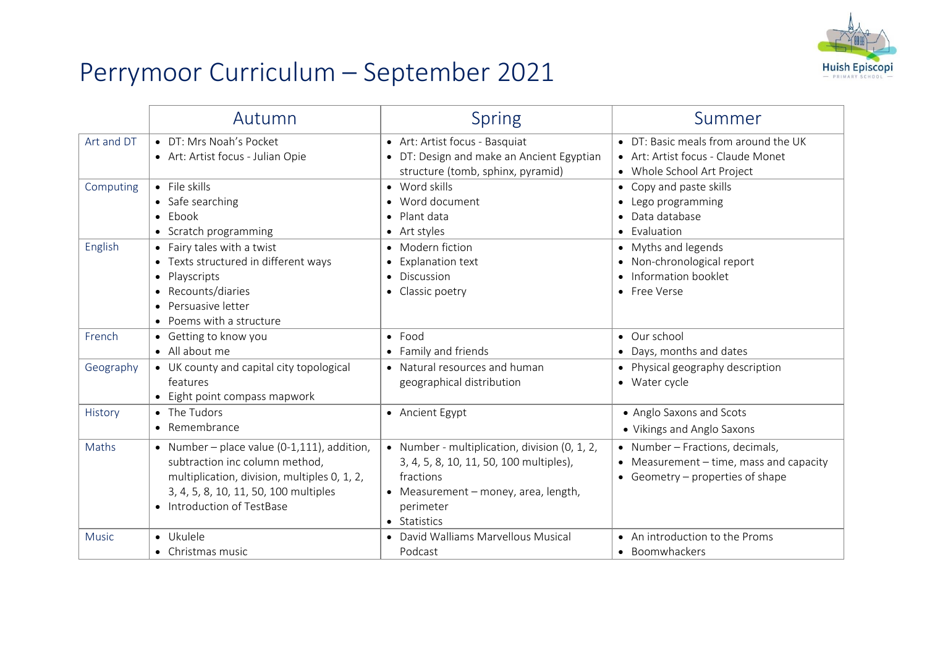

## Perrymoor Curriculum – September 2021

|              | Autumn                                                                                                                                                                                               | <b>Spring</b>                                                                                                                                                              | Summer                                                                                                           |
|--------------|------------------------------------------------------------------------------------------------------------------------------------------------------------------------------------------------------|----------------------------------------------------------------------------------------------------------------------------------------------------------------------------|------------------------------------------------------------------------------------------------------------------|
| Art and DT   | • DT: Mrs Noah's Pocket<br>• Art: Artist focus - Julian Opie                                                                                                                                         | • Art: Artist focus - Basquiat<br>• DT: Design and make an Ancient Egyptian<br>structure (tomb, sphinx, pyramid)                                                           | • DT: Basic meals from around the UK<br>• Art: Artist focus - Claude Monet<br>• Whole School Art Project         |
| Computing    | $\bullet$ File skills<br>• Safe searching<br>$\bullet$ Ebook<br>• Scratch programming                                                                                                                | • Word skills<br>• Word document<br>• Plant data<br>$\bullet$ Art styles                                                                                                   | • Copy and paste skills<br>• Lego programming<br>• Data database<br>• Evaluation                                 |
| English      | • Fairy tales with a twist<br>• Texts structured in different ways<br>• Playscripts<br>• Recounts/diaries<br>• Persuasive letter<br>• Poems with a structure                                         | • Modern fiction<br>• Explanation text<br>• Discussion<br>• Classic poetry                                                                                                 | • Myths and legends<br>• Non-chronological report<br>• Information booklet<br>• Free Verse                       |
| French       | • Getting to know you<br>• All about me                                                                                                                                                              | $\bullet$ Food<br>• Family and friends                                                                                                                                     | • Our school<br>• Days, months and dates                                                                         |
| Geography    | • UK county and capital city topological<br>features<br>• Eight point compass mapwork                                                                                                                | • Natural resources and human<br>geographical distribution                                                                                                                 | • Physical geography description<br>• Water cycle                                                                |
| History      | • The Tudors<br>• Remembrance                                                                                                                                                                        | • Ancient Egypt                                                                                                                                                            | • Anglo Saxons and Scots<br>• Vikings and Anglo Saxons                                                           |
| Maths        | • Number – place value (0-1,111), addition,<br>subtraction inc column method,<br>multiplication, division, multiples 0, 1, 2,<br>3, 4, 5, 8, 10, 11, 50, 100 multiples<br>• Introduction of TestBase | • Number - multiplication, division (0, 1, 2,<br>3, 4, 5, 8, 10, 11, 50, 100 multiples),<br>fractions<br>• Measurement – money, area, length,<br>perimeter<br>• Statistics | • Number - Fractions, decimals,<br>• Measurement $-$ time, mass and capacity<br>• Geometry - properties of shape |
| <b>Music</b> | · Ukulele<br>• Christmas music                                                                                                                                                                       | • David Walliams Marvellous Musical<br>Podcast                                                                                                                             | • An introduction to the Proms<br>• Boomwhackers                                                                 |